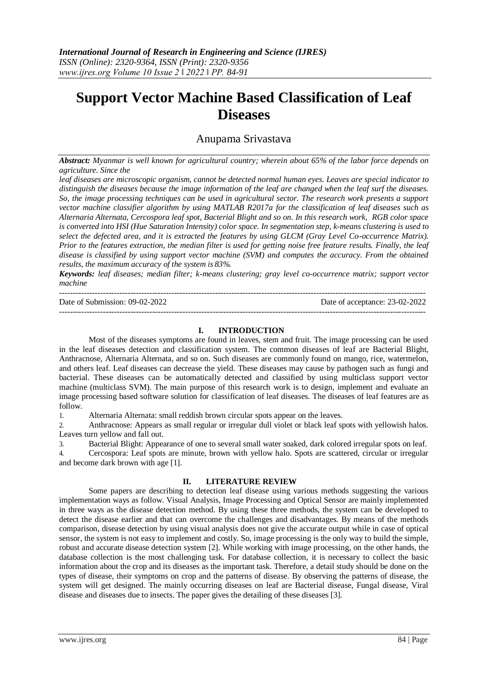# **Support Vector Machine Based Classification of Leaf Diseases**

## Anupama Srivastava

*Abstract: Myanmar is well known for agricultural country; wherein about 65% of the labor force depends on agriculture. Since the*

*leaf diseases are microscopic organism, cannot be detected normal human eyes. Leaves are special indicator to distinguish the diseases because the image information of the leaf are changed when the leaf surf the diseases. So, the image processing techniques can be used in agricultural sector. The research work presents a support vector machine classifier algorithm by using MATLAB R2017a for the classification of leaf diseases such as Alternaria Alternata, Cercospora leaf spot, Bacterial Blight and so on. In this research work, RGB color space is converted into HSI (Hue Saturation Intensity) color space. In segmentation step, k-means clustering is used to select the defected area, and it is extracted the features by using GLCM (Gray Level Co-occurrence Matrix). Prior to the features extraction, the median filter is used for getting noise free feature results. Finally, the leaf disease is classified by using support vector machine (SVM) and computes the accuracy. From the obtained results, the maximum accuracy of the system is 83%.*

*Keywords: leaf diseases; median filter; k-means clustering; gray level co-occurrence matrix; support vector machine*

-------------------------------------------------------------------------------------------------------------------------------------- Date of Submission: 09-02-2022 Date of acceptance: 23-02-2022 --------------------------------------------------------------------------------------------------------------------------------------

### **I. INTRODUCTION**

Most of the diseases symptoms are found in leaves, stem and fruit. The image processing can be used in the leaf diseases detection and classification system. The common diseases of leaf are Bacterial Blight, Anthracnose, Alternaria Alternata, and so on. Such diseases are commonly found on mango, rice, watermelon, and others leaf. Leaf diseases can decrease the yield. These diseases may cause by pathogen such as fungi and bacterial. These diseases can be automatically detected and classified by using multiclass support vector machine (multiclass SVM). The main purpose of this research work is to design, implement and evaluate an image processing based software solution for classification of leaf diseases. The diseases of leaf features are as follow.

1. Alternaria Alternata: small reddish brown circular spots appear on the leaves.

2. Anthracnose: Appears as small regular or irregular dull violet or black leaf spots with yellowish halos. Leaves turn yellow and fall out.

3. Bacterial Blight: Appearance of one to several small water soaked, dark colored irregular spots on leaf.

4. Cercospora: Leaf spots are minute, brown with yellow halo. Spots are scattered, circular or irregular and become dark brown with age [1].

#### **II. LITERATURE REVIEW**

Some papers are describing to detection leaf disease using various methods suggesting the various implementation ways as follow. Visual Analysis, Image Processing and Optical Sensor are mainly implemented in three ways as the disease detection method. By using these three methods, the system can be developed to detect the disease earlier and that can overcome the challenges and disadvantages. By means of the methods comparison, disease detection by using visual analysis does not give the accurate output while in case of optical sensor, the system is not easy to implement and costly. So, image processing is the only way to build the simple, robust and accurate disease detection system [2]. While working with image processing, on the other hands, the database collection is the most challenging task. For database collection, it is necessary to collect the basic information about the crop and its diseases as the important task. Therefore, a detail study should be done on the types of disease, their symptoms on crop and the patterns of disease. By observing the patterns of disease, the system will get designed. The mainly occurring diseases on leaf are Bacterial disease, Fungal disease, Viral disease and diseases due to insects. The paper gives the detailing of these diseases [3].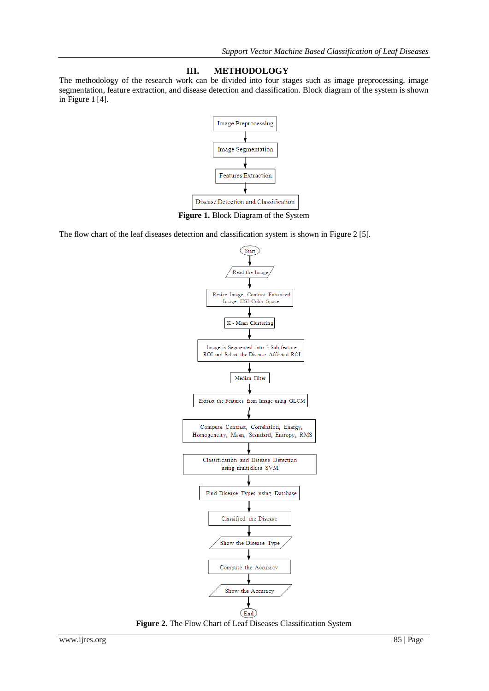## **III. METHODOLOGY**

The methodology of the research work can be divided into four stages such as image preprocessing, image segmentation, feature extraction, and disease detection and classification. Block diagram of the system is shown in Figure 1 [4].



**Figure 1.** Block Diagram of the System

The flow chart of the leaf diseases detection and classification system is shown in Figure 2 [5].



**Figure 2.** The Flow Chart of Leaf Diseases Classification System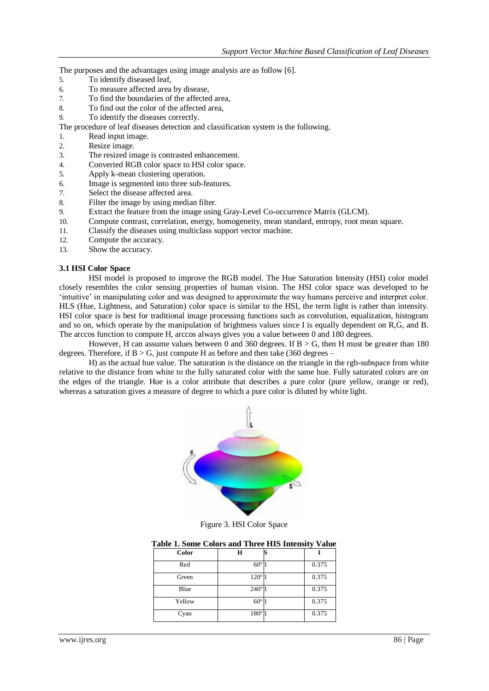The purposes and the advantages using image analysis are as follow [6].

- 5. To identify diseased leaf,
- 6. To measure affected area by disease,
- 7. To find the boundaries of the affected area,
- 8. To find out the color of the affected area,
- 9. To identify the diseases correctly.

The procedure of leaf diseases detection and classification system is the following.

- 1. Read input image.
- 2. Resize image.
- 3. The resized image is contrasted enhancement.
- 4. Converted RGB color space to HSI color space.
- 5. Apply k-mean clustering operation.
- 6. Image is segmented into three sub-features.
- 7. Select the disease affected area.
- 8. Filter the image by using median filter.
- 9. Extract the feature from the image using Gray-Level Co-occurrence Matrix (GLCM).
- 10. Compute contrast, correlation, energy, homogeneity, mean standard, entropy, root mean square.
- 11. Classify the diseases using multiclass support vector machine.
- 12. Compute the accuracy.
- 13. Show the accuracy.

### **3.1 HSI Color Space**

HSI model is proposed to improve the RGB model. The Hue Saturation Intensity (HSI) color model closely resembles the color sensing properties of human vision. The HSI color space was developed to be 'intuitive' in manipulating color and was designed to approximate the way humans perceive and interpret color. HLS (Hue, Lightness, and Saturation) color space is similar to the HSI, the term light is rather than intensity. HSI color space is best for traditional image processing functions such as convolution, equalization, histogram and so on, which operate by the manipulation of brightness values since I is equally dependent on R,G, and B. The arccos function to compute H, arccos always gives you a value between 0 and 180 degrees.

However, H can assume values between 0 and 360 degrees. If  $B > G$ , then H must be greater than 180 degrees. Therefore, if  $B > G$ , just compute H as before and then take (360 degrees –

H) as the actual hue value. The saturation is the distance on the triangle in the rgb-subspace from white relative to the distance from white to the fully saturated color with the same hue. Fully saturated colors are on the edges of the triangle. Hue is a color attribute that describes a pure color (pure yellow, orange or red), whereas a saturation gives a measure of degree to which a pure color is diluted by white light.



Figure 3. HSI Color Space

| <b>Table 1. Some Colors and Three HIS Intensity Value</b> |  |  |
|-----------------------------------------------------------|--|--|
| Color                                                     |  |  |

| Red    | $60^\circ$  | 0.375 |
|--------|-------------|-------|
| Green  | $120^\circ$ | 0.375 |
| Blue   | $240^\circ$ | 0.375 |
| Yellow | $60^\circ$  | 0.375 |
| Cyan   | $180^\circ$ | 0.375 |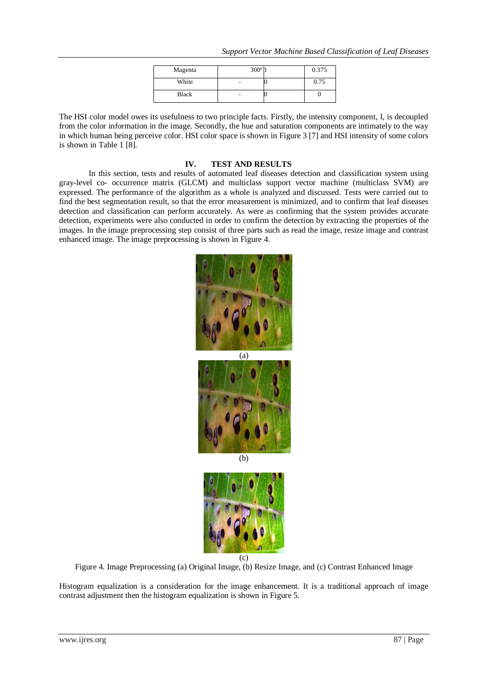|  | Support Vector Machine Based Classification of Leaf Diseases |
|--|--------------------------------------------------------------|
|--|--------------------------------------------------------------|

| Magenta | $300^\circ$ | 0.375 |
|---------|-------------|-------|
| White   |             | 0.75  |
| Black   |             |       |

The HSI color model owes its usefulness to two principle facts. Firstly, the intensity component, I, is decoupled from the color information in the image. Secondly, the hue and saturation components are intimately to the way in which human being perceive color. HSI color space is shown in Figure 3 [7] and HSI intensity of some colors is shown in Table 1 [8].

### **IV. TEST AND RESULTS**

In this section, tests and results of automated leaf diseases detection and classification system using gray-level co- occurrence matrix (GLCM) and multiclass support vector machine (multiclass SVM) are expressed. The performance of the algorithm as a whole is analyzed and discussed. Tests were carried out to find the best segmentation result, so that the error measurement is minimized, and to confirm that leaf diseases detection and classification can perform accurately. As were as confirming that the system provides accurate detection, experiments were also conducted in order to confirm the detection by extracting the properties of the images. In the image preprocessing step consist of three parts such as read the image, resize image and contrast enhanced image. The image preprocessing is shown in Figure 4.



(b)



Figure 4. Image Preprocessing (a) Original Image, (b) Resize Image, and (c) Contrast Enhanced Image

Histogram equalization is a consideration for the image enhancement. It is a traditional approach of image contrast adjustment then the histogram equalization is shown in Figure 5.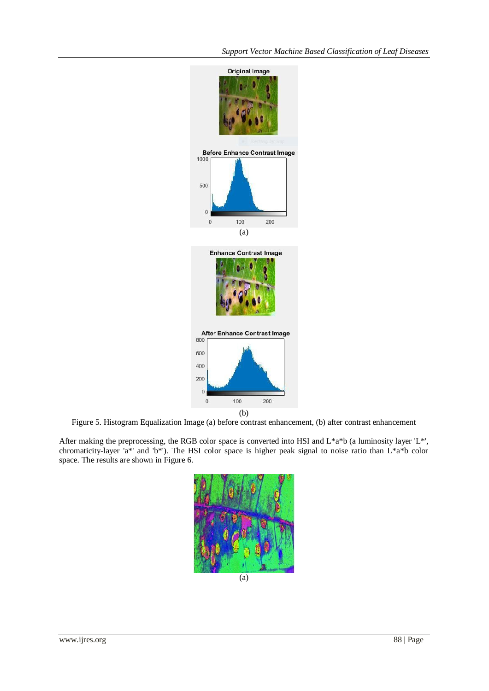

Figure 5. Histogram Equalization Image (a) before contrast enhancement, (b) after contrast enhancement

After making the preprocessing, the RGB color space is converted into HSI and L\*a\*b (a luminosity layer 'L\*', chromaticity-layer 'a\*' and 'b\*'). The HSI color space is higher peak signal to noise ratio than L\*a\*b color space. The results are shown in Figure 6.

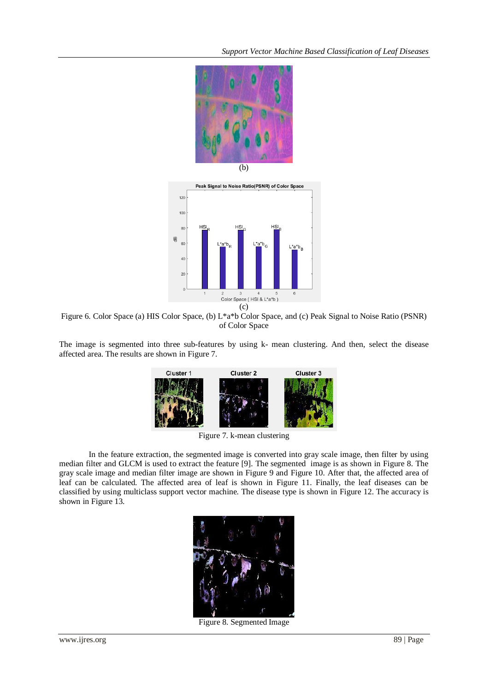*Support Vector Machine Based Classification of Leaf Diseases*





Figure 6. Color Space (a) HIS Color Space, (b) L\*a\*b Color Space, and (c) Peak Signal to Noise Ratio (PSNR) of Color Space

The image is segmented into three sub-features by using k- mean clustering. And then, select the disease affected area. The results are shown in Figure 7.



Figure 7. k-mean clustering

In the feature extraction, the segmented image is converted into gray scale image, then filter by using median filter and GLCM is used to extract the feature [9]. The segmented image is as shown in Figure 8. The gray scale image and median filter image are shown in Figure 9 and Figure 10. After that, the affected area of leaf can be calculated. The affected area of leaf is shown in Figure 11. Finally, the leaf diseases can be classified by using multiclass support vector machine. The disease type is shown in Figure 12. The accuracy is shown in Figure 13.



Figure 8. Segmented Image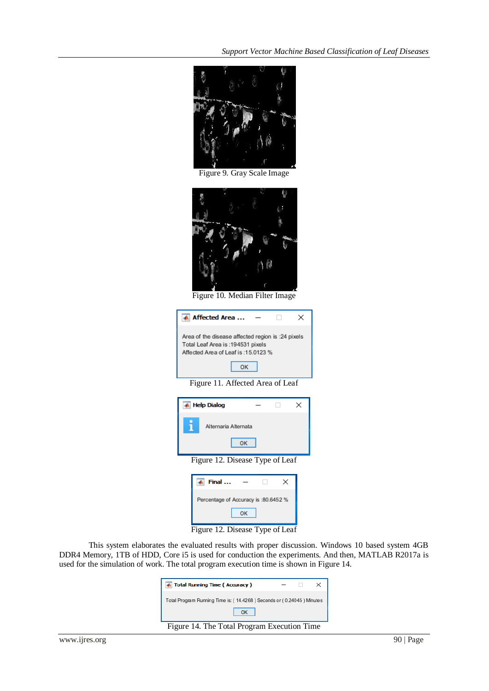

Figure 9. Gray Scale Image



Figure 10. Median Filter Image

| Affected Area                                                                                                                  |  |
|--------------------------------------------------------------------------------------------------------------------------------|--|
| Area of the disease affected region is :24 pixels<br>Total Leaf Area is : 194531 pixels<br>Affected Area of Leaf is: 15.0123 % |  |

Figure 11. Affected Area of Leaf

| <b>Help Dialog</b>                     |   |  |
|----------------------------------------|---|--|
| Ĩ<br>Alternaria Alternata<br><b>OK</b> |   |  |
| Figure 12. Disease Type of Leaf        |   |  |
| Final                                  | × |  |
| Percentage of Accuracy is :80.6452 %   |   |  |
| OK                                     |   |  |

Figure 12. Disease Type of Leaf

This system elaborates the evaluated results with proper discussion. Windows 10 based system 4GB DDR4 Memory, 1TB of HDD, Core i5 is used for conduction the experiments. And then, MATLAB R2017a is used for the simulation of work. The total program execution time is shown in Figure 14.

| Total Running Time (Accuracy)                                         |  |  |  |
|-----------------------------------------------------------------------|--|--|--|
| Total Program Running Time is: (14.4268) Seconds or (0.24045) Minutes |  |  |  |
| OK                                                                    |  |  |  |
| Figure 14. The Total Program Execution Time                           |  |  |  |